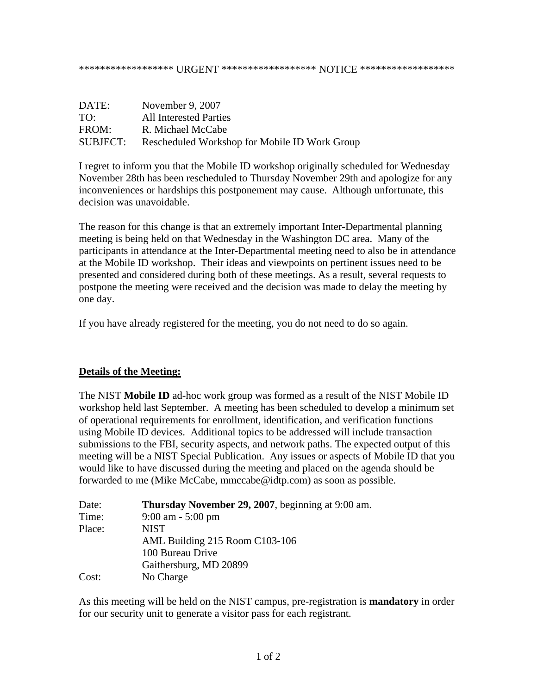## \*\*\*\*\*\*\*\*\*\*\*\*\*\*\*\*\*\*\* URGENT \*\*\*\*\*\*\*\*\*\*\*\*\*\*\*\*\*\* NOTICE \*\*\*\*\*\*\*\*\*\*\*\*\*\*\*\*\*\*\*

| DATE:    | November 9, 2007                              |
|----------|-----------------------------------------------|
| TO:      | <b>All Interested Parties</b>                 |
| FROM:    | R. Michael McCabe                             |
| SUBJECT: | Rescheduled Workshop for Mobile ID Work Group |

I regret to inform you that the Mobile ID workshop originally scheduled for Wednesday November 28th has been rescheduled to Thursday November 29th and apologize for any inconveniences or hardships this postponement may cause. Although unfortunate, this decision was unavoidable.

The reason for this change is that an extremely important Inter-Departmental planning meeting is being held on that Wednesday in the Washington DC area. Many of the participants in attendance at the Inter-Departmental meeting need to also be in attendance at the Mobile ID workshop. Their ideas and viewpoints on pertinent issues need to be presented and considered during both of these meetings. As a result, several requests to postpone the meeting were received and the decision was made to delay the meeting by one day.

If you have already registered for the meeting, you do not need to do so again.

## **Details of the Meeting:**

The NIST **Mobile ID** ad-hoc work group was formed as a result of the NIST Mobile ID workshop held last September. A meeting has been scheduled to develop a minimum set of operational requirements for enrollment, identification, and verification functions using Mobile ID devices. Additional topics to be addressed will include transaction submissions to the FBI, security aspects, and network paths. The expected output of this meeting will be a NIST Special Publication. Any issues or aspects of Mobile ID that you would like to have discussed during the meeting and placed on the agenda should be forwarded to me (Mike McCabe, [mmccabe@idtp.com\)](mailto:mmccabe@idtp.com) as soon as possible.

| Date:  | Thursday November 29, 2007, beginning at 9:00 am. |
|--------|---------------------------------------------------|
| Time:  | $9:00$ am $-5:00$ pm                              |
| Place: | <b>NIST</b>                                       |
|        | AML Building 215 Room C103-106                    |
|        | 100 Bureau Drive                                  |
|        | Gaithersburg, MD 20899                            |
| Cost:  | No Charge                                         |

As this meeting will be held on the NIST campus, pre-registration is **mandatory** in order for our security unit to generate a visitor pass for each registrant.